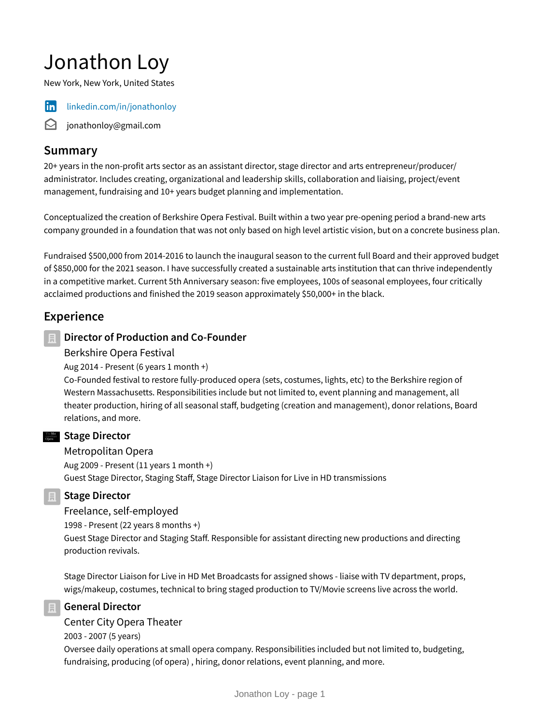# Jonathon Loy

New York, New York, United States



in [linkedin.com/in/jonathonloy](https://www.linkedin.com/in/jonathonloy)

 $\Theta$  jonathonloy@gmail.com

## **Summary**

20+ years in the non-profit arts sector as an assistant director, stage director and arts entrepreneur/producer/ administrator. Includes creating, organizational and leadership skills, collaboration and liaising, project/event management, fundraising and 10+ years budget planning and implementation.

Conceptualized the creation of Berkshire Opera Festival. Built within a two year pre-opening period a brand-new arts company grounded in a foundation that was not only based on high level artistic vision, but on a concrete business plan.

Fundraised \$500,000 from 2014-2016 to launch the inaugural season to the current full Board and their approved budget of \$850,000 for the 2021 season. I have successfully created a sustainable arts institution that can thrive independently in a competitive market. Current 5th Anniversary season: five employees, 100s of seasonal employees, four critically acclaimed productions and finished the 2019 season approximately \$50,000+ in the black.

# **Experience**

## **Director of Production and Co-Founder**

#### Berkshire Opera Festival

Aug 2014 - Present (6 years 1 month +)

Co-Founded festival to restore fully-produced opera (sets, costumes, lights, etc) to the Berkshire region of Western Massachusetts. Responsibilities include but not limited to, event planning and management, all theater production, hiring of all seasonal staff, budgeting (creation and management), donor relations, Board relations, and more.

## **Stage Director**

#### Metropolitan Opera

Aug 2009 - Present (11 years 1 month +) Guest Stage Director, Staging Staff, Stage Director Liaison for Live in HD transmissions

**Stage Director**

Freelance, self-employed

1998 - Present (22 years 8 months +)

Guest Stage Director and Staging Staff. Responsible for assistant directing new productions and directing production revivals.

Stage Director Liaison for Live in HD Met Broadcasts for assigned shows - liaise with TV department, props, wigs/makeup, costumes, technical to bring staged production to TV/Movie screens live across the world.

## **General Director**

## Center City Opera Theater

2003 - 2007 (5 years)

Oversee daily operations at small opera company. Responsibilities included but not limited to, budgeting, fundraising, producing (of opera) , hiring, donor relations, event planning, and more.